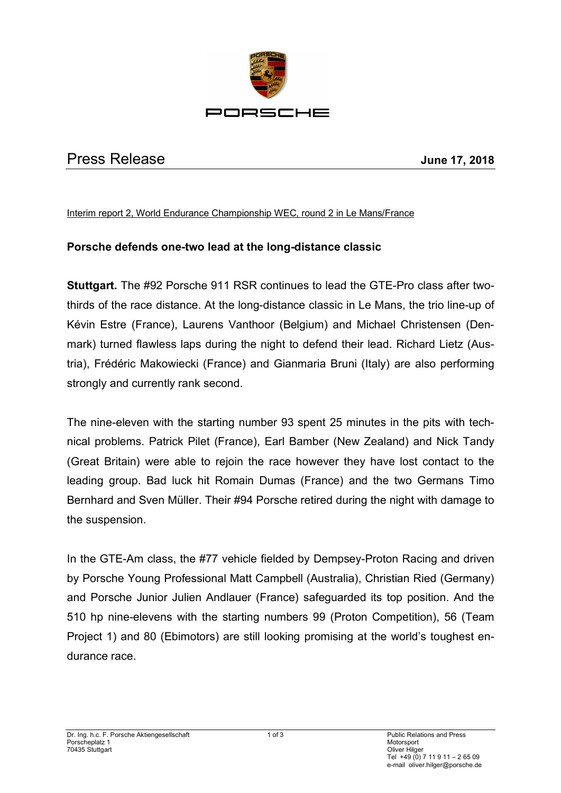

## Press Release **June 17, 2018**

## Interim report 2, World Endurance Championship WEC, round 2 in Le Mans/France

## **Porsche defends one-two lead at the long-distance classic**

**Stuttgart.** The #92 Porsche 911 RSR continues to lead the GTE-Pro class after twothirds of the race distance. At the long-distance classic in Le Mans, the trio line-up of Kévin Estre (France), Laurens Vanthoor (Belgium) and Michael Christensen (Denmark) turned flawless laps during the night to defend their lead. Richard Lietz (Austria), Frédéric Makowiecki (France) and Gianmaria Bruni (Italy) are also performing strongly and currently rank second.

The nine-eleven with the starting number 93 spent 25 minutes in the pits with technical problems. Patrick Pilet (France), Earl Bamber (New Zealand) and Nick Tandy (Great Britain) were able to rejoin the race however they have lost contact to the leading group. Bad luck hit Romain Dumas (France) and the two Germans Timo Bernhard and Sven Müller. Their #94 Porsche retired during the night with damage to the suspension.

In the GTE-Am class, the #77 vehicle fielded by Dempsey-Proton Racing and driven by Porsche Young Professional Matt Campbell (Australia), Christian Ried (Germany) and Porsche Junior Julien Andlauer (France) safeguarded its top position. And the 510 hp nine-elevens with the starting numbers 99 (Proton Competition), 56 (Team Project 1) and 80 (Ebimotors) are still looking promising at the world's toughest endurance race.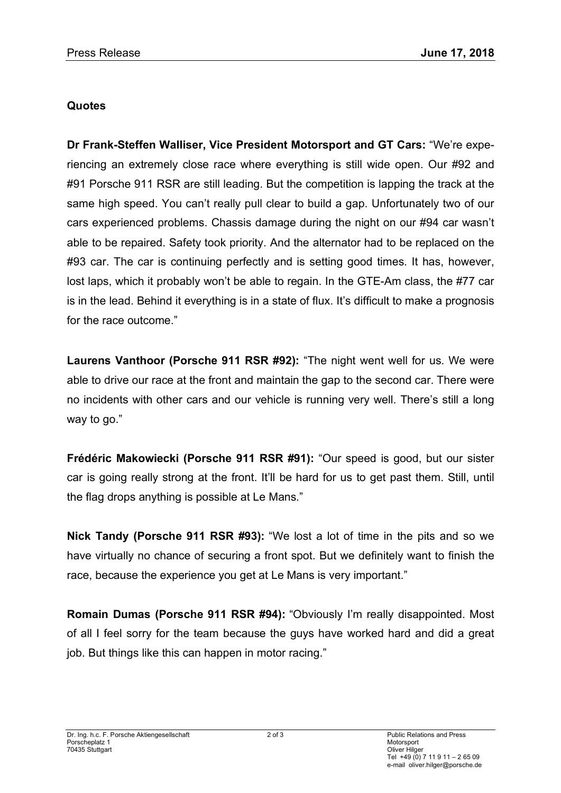## **Quotes**

**Dr Frank-Steffen Walliser, Vice President Motorsport and GT Cars:** "We're experiencing an extremely close race where everything is still wide open. Our #92 and #91 Porsche 911 RSR are still leading. But the competition is lapping the track at the same high speed. You can't really pull clear to build a gap. Unfortunately two of our cars experienced problems. Chassis damage during the night on our #94 car wasn't able to be repaired. Safety took priority. And the alternator had to be replaced on the #93 car. The car is continuing perfectly and is setting good times. It has, however, lost laps, which it probably won't be able to regain. In the GTE-Am class, the #77 car is in the lead. Behind it everything is in a state of flux. It's difficult to make a prognosis for the race outcome."

**Laurens Vanthoor (Porsche 911 RSR #92):** "The night went well for us. We were able to drive our race at the front and maintain the gap to the second car. There were no incidents with other cars and our vehicle is running very well. There's still a long way to go."

**Frédéric Makowiecki (Porsche 911 RSR #91):** "Our speed is good, but our sister car is going really strong at the front. It'll be hard for us to get past them. Still, until the flag drops anything is possible at Le Mans."

**Nick Tandy (Porsche 911 RSR #93):** "We lost a lot of time in the pits and so we have virtually no chance of securing a front spot. But we definitely want to finish the race, because the experience you get at Le Mans is very important."

**Romain Dumas (Porsche 911 RSR #94):** "Obviously I'm really disappointed. Most of all I feel sorry for the team because the guys have worked hard and did a great job. But things like this can happen in motor racing."